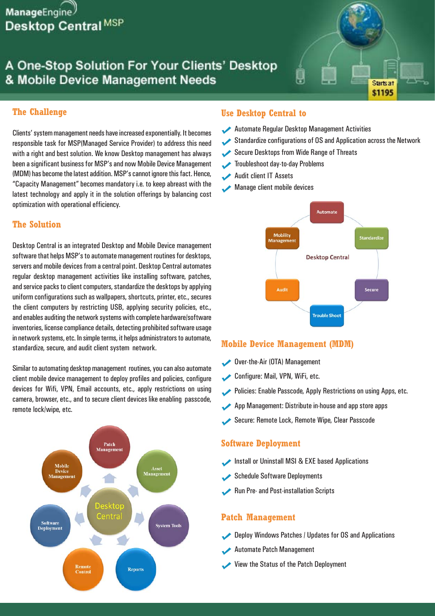

# A One-Stop Solution For Your Clients' Desktop & Mobile Device Management Needs

#### **The Challenge**

Clients' system management needs have increased exponentially. It becomes responsible task for MSP(Managed Service Provider) to address this need with a right and best solution. We know Desktop management has always been a significant business for MSP's and now Mobile Device Management (MDM) has become the latest addition. MSP's cannot ignore this fact. Hence, "Capacity Management" becomes mandatory i.e. to keep abreast with the latest technology and apply it in the solution offerings by balancing cost optimization with operational efficiency.

#### **The Solution**

Desktop Central is an integrated Desktop and Mobile Device management software that helps MSP's to automate management routines for desktops, servers and mobile devices from a central point. Desktop Central automates regular desktop management activities like installing software, patches, and service packs to client computers, standardize the desktops by applying uniform configurations such as wallpapers, shortcuts, printer, etc., secures the client computers by restricting USB, applying security policies, etc., and enables auditing the network systems with complete hardware/software inventories, license compliance details, detecting prohibited software usage in network systems, etc. In simple terms, it helps administrators to automate, standardize, secure, and audit client system network.

Similar to automating desktop management routines, you can also automate client mobile device management to deploy profiles and policies, configure devices for Wifi, VPN, Email accounts, etc., apply restrictions on using camera, browser, etc., and to secure client devices like enabling passcode, remote lock/wipe, etc.



#### **Use Desktop Central to**

- Automate Regular Desktop Management Activities
- Standardize configurations of OS and Application across the Network

Starts at \$1195

- Secure Desktops from Wide Range of Threats
- Troubleshoot day-to-day Problems
- $\blacktriangledown$ Audit client IT Assets
- $\checkmark$ Manage client mobile devices



#### **Mobile Device Management (MDM)**

- Over-the-Air (OTA) Management
- Configure: Mail, VPN, WiFi, etc.
- Policies: Enable Passcode, Apply Restrictions on using Apps, etc.
- App Management: Distribute in-house and app store apps
- Secure: Remote Lock, Remote Wipe, Clear Passcode

#### **Software Deployment**

- Install or Uninstall MSI & EXE based Applications
- Schedule Software Deployments
- Run Pre- and Post-installation Scripts

#### **Patch Management**

- Deploy Windows Patches / Updates for OS and Applications
- Automate Patch Management
- View the Status of the Patch Deployment